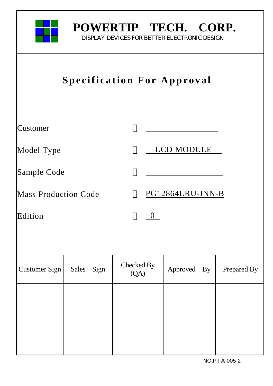

# **POWERTIP TECH. CORP.**

DISPLAY DEVICES FOR BETTER ELECTRONIC DESIGN

| <b>Specification For Approval</b> |                      |                    |                            |             |  |  |
|-----------------------------------|----------------------|--------------------|----------------------------|-------------|--|--|
| Customer                          |                      |                    |                            |             |  |  |
| Model Type                        |                      |                    | LCD MODULE                 |             |  |  |
| Sample Code                       |                      |                    |                            |             |  |  |
| <b>Mass Production Code</b>       |                      |                    | PG12864LRU-JNN-B           |             |  |  |
| Edition                           |                      | $\overline{0}$     |                            |             |  |  |
|                                   |                      |                    |                            |             |  |  |
| Customer Sign                     | <b>Sales</b><br>Sign | Checked By<br>(QA) | $\mathbf{B}$ y<br>Approved | Prepared By |  |  |
|                                   |                      |                    |                            |             |  |  |
|                                   |                      |                    |                            |             |  |  |
|                                   |                      |                    |                            |             |  |  |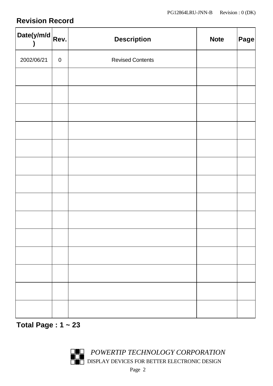# **Revision Record**

| Date(y/m/d $R$ ev. |           | <b>Description</b>      | <b>Note</b> | Page |
|--------------------|-----------|-------------------------|-------------|------|
| 2002/06/21         | $\pmb{0}$ | <b>Revised Contents</b> |             |      |
|                    |           |                         |             |      |
|                    |           |                         |             |      |
|                    |           |                         |             |      |
|                    |           |                         |             |      |
|                    |           |                         |             |      |
|                    |           |                         |             |      |
|                    |           |                         |             |      |
|                    |           |                         |             |      |
|                    |           |                         |             |      |
|                    |           |                         |             |      |
|                    |           |                         |             |      |
|                    |           |                         |             |      |
|                    |           |                         |             |      |
|                    |           |                         |             |      |

**Total Page : 1 ~ 23**

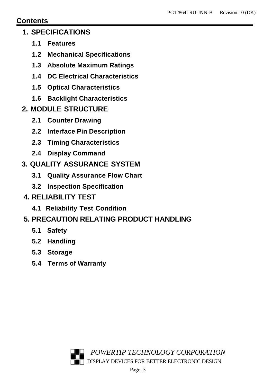### **Contents**

### **1. SPECIFICATIONS**

- **1.1 Features**
- **1.2 Mechanical Specifications**
- **1.3 Absolute Maximum Ratings**
- **1.4 DC Electrical Characteristics**
- **1.5 Optical Characteristics**
- **1.6 Backlight Characteristics**
- **2. MODULE STRUCTURE**
	- **2.1 Counter Drawing**
	- **2.2 Interface Pin Description**
	- **2.3 Timing Characteristics**
	- **2.4 Display Command**

# **3. QUALITY ASSURANCE SYSTEM**

- **3.1 Quality Assurance Flow Chart**
- **3.2 Inspection Specification**
- **4. RELIABILITY TEST**
	- **4.1 Reliability Test Condition**

# **5. PRECAUTION RELATING PRODUCT HANDLING**

- **5.1 Safety**
- **5.2 Handling**
- **5.3 Storage**
- **5.4 Terms of Warranty**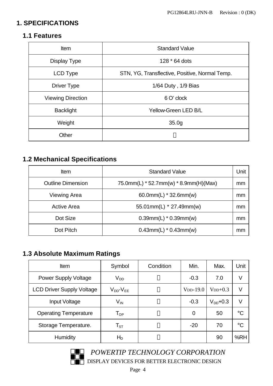## **1. SPECIFICATIONS**

### **1.1 Features**

| <b>Item</b>              | <b>Standard Value</b>                          |  |  |
|--------------------------|------------------------------------------------|--|--|
| Display Type             | 128 * 64 dots                                  |  |  |
| LCD Type                 | STN, YG, Transflective, Positive, Normal Temp. |  |  |
| <b>Driver Type</b>       | 1/64 Duty, 1/9 Bias                            |  |  |
| <b>Viewing Direction</b> | 6 O' clock                                     |  |  |
| <b>Backlight</b>         | Yellow-Green LED B/L                           |  |  |
| Weight                   | 35.0 <sub>g</sub>                              |  |  |
| Other                    |                                                |  |  |

# **1.2 Mechanical Specifications**

| Item                     | <b>Standard Value</b>                     | Unit |
|--------------------------|-------------------------------------------|------|
| <b>Outline Dimension</b> | 75.0mm(L) $*$ 52.7mm(w) $*$ 8.9mm(H)(Max) | mm   |
| <b>Viewing Area</b>      | 60.0mm(L) $*$ 32.6mm(w)                   | mm   |
| <b>Active Area</b>       | 55.01mm(L) * 27.49mm(w)                   | mm   |
| Dot Size                 | $0.39$ mm(L) * $0.39$ mm(w)               | mm   |
| Dot Pitch                | $0.43$ mm(L) * $0.43$ mm(w)               | mm   |

## **1.3 Absolute Maximum Ratings**

| <b>Item</b>                      | Symbol                     | Condition | Min.           | Max.          | Unit            |
|----------------------------------|----------------------------|-----------|----------------|---------------|-----------------|
| <b>Power Supply Voltage</b>      | $V_{DD}$                   |           | $-0.3$         | 7.0           | V               |
| <b>LCD Driver Supply Voltage</b> | $V_{DD}$ - $V_{EE}$        |           | $VDD-19.0$     | $V_{DD}+0.3$  | V               |
| Input Voltage                    | $\mathsf{V}_{\mathsf{IN}}$ |           | $-0.3$         | $V_{DD}$ +0.3 | V               |
| <b>Operating Temperature</b>     | $\mathsf{T}_{\mathsf{OP}}$ |           | $\overline{0}$ | 50            | $\rm ^{\circ}C$ |
| Storage Temperature.             | $\mathsf{T}_{\texttt{ST}}$ |           | $-20$          | 70            | $\rm ^{\circ}C$ |
| <b>Humidity</b>                  | $H_D$                      |           |                | 90            | %RH             |



 $POWERTIP \textit{TECHNOLOGY \textit{CORPORTION}}$ DISPLAY DEVICES FOR BETTER ELECTRONIC DESIGN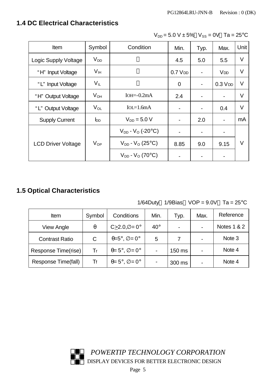# **1.4 DC Electrical Characteristics**

| Item                      | Symbol          | Condition                             | Min.                     | Typ.                         | Max.                         | Unit   |
|---------------------------|-----------------|---------------------------------------|--------------------------|------------------------------|------------------------------|--------|
| Logic Supply Voltage      | $V_{DD}$        |                                       | 4.5                      | 5.0                          | 5.5                          | V      |
| "H" Input Voltage         | V <sub>IH</sub> |                                       | $0.7V$ DD                | $\qquad \qquad \blacksquare$ | <b>V<sub>DD</sub></b>        | V      |
| "L" Input Voltage         | $V_{IL}$        |                                       | $\overline{0}$           | $\blacksquare$               | $0.3$ $V$ <sub>DD</sub>      | $\vee$ |
| "H" Output Voltage        | $V_{OH}$        | $IOH = -0.2mA$                        | 2.4                      | $\qquad \qquad \blacksquare$ |                              | V      |
| "L" Output Voltage        | $V_{OL}$        | $IoL = 1.6mA$                         |                          | $\overline{\phantom{a}}$     | 0.4                          | V      |
| <b>Supply Current</b>     | $I_{DD}$        | $V_{DD} = 5.0 V$                      | $\overline{\phantom{a}}$ | 2.0                          | $\qquad \qquad \blacksquare$ | mA     |
|                           |                 | $V_{DD}$ - $V_{O}$ (-20 $^{\circ}$ C) |                          | $\overline{\phantom{a}}$     |                              |        |
| <b>LCD Driver Voltage</b> | $V_{OP}$        | $V_{DD}$ - $V_{O}$ (25 $^{\circ}$ C)  | 8.85                     | 9.0                          | 9.15                         | V      |
|                           |                 | $V_{DD}$ - $V_{O}$ (70 $^{\circ}$ C)  |                          | $\blacksquare$               |                              |        |

 $V_{DD} = 5.0 V \pm 5\% V_{SS} = 0V$  Ta = 25°C

# **1.5 Optical Characteristics**

|  | 1/64Duty 1/9Bias $VOP = 9.0V$ Ta = 25°C |  |
|--|-----------------------------------------|--|
|  |                                         |  |

| Item                  | Symbol   | Conditions                                   | Min.                     | Typ.   | Max.                     | Reference              |
|-----------------------|----------|----------------------------------------------|--------------------------|--------|--------------------------|------------------------|
| <b>View Angle</b>     | $\theta$ | $C > 2.0, \emptyset = 0^{\circ}$             | $40^{\circ}$             |        | $\overline{\phantom{0}}$ | <b>Notes 1 &amp; 2</b> |
| <b>Contrast Ratio</b> | C        | $\theta = 5^\circ$ , $\varnothing = 0^\circ$ | 5                        |        |                          | Note 3                 |
| Response Time(rise)   | Tr       | $\theta = 5^\circ$ , $\varnothing = 0^\circ$ | $\overline{\phantom{0}}$ | 150 ms |                          | Note 4                 |
| Response Time(fall)   | Tf       | $\theta = 5^\circ$ , $\varnothing = 0^\circ$ |                          | 300 ms |                          | Note 4                 |

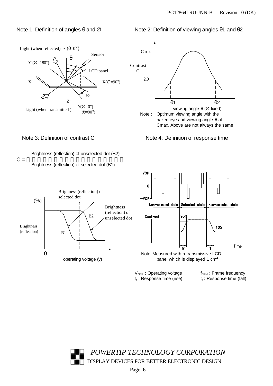#### Note 1: Definition of angles θ and  $\varnothing$  Note 2: Definition of viewing angles θ1 and θ2



 $\mathsf{t}_{\mathsf{r}}$  : Response time (rise) t<sub>t</sub>

 $V_{OPR}$  : Operating voltage f<sub>FRM</sub> : Frame frequency : Response time (fall)

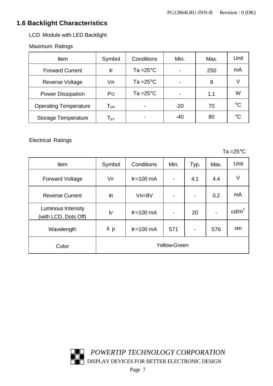## **1.6 Backlight Characteristics**

LCD Module with LED Backlight

Maximum Ratings

| <b>Item</b>                  | Symbol                     | Conditions          | Min.  | Max. | Unit        |
|------------------------------|----------------------------|---------------------|-------|------|-------------|
| <b>Forward Current</b>       | IF                         | Ta = $25^{\circ}$ C |       | 250  | mA          |
| <b>Reverse Voltage</b>       | VR                         | Ta = $25^{\circ}$ C |       | 8    |             |
| <b>Power Dissipation</b>     | Po                         | Ta = $25^{\circ}$ C |       | 1.1  | W           |
| <b>Operating Temperature</b> | $\mathsf{T}_{\mathsf{OP}}$ |                     | $-20$ | 70   | $^{\circ}C$ |
| <b>Storage Temperature</b>   | $\mathsf{T}_{\texttt{ST}}$ |                     | $-40$ | 80   | $^{\circ}C$ |

Electrical Ratings

 $Ta = 25^{\circ} \text{C}$ 

| Item                                       | Symbol       | Conditions  | Min.                | Typ.                     | Max. | Unit            |
|--------------------------------------------|--------------|-------------|---------------------|--------------------------|------|-----------------|
| <b>Forward Voltage</b>                     | VF           | $IF=100$ mA | $\blacksquare$      | 4.1                      | 4.4  | V               |
| <b>Reverse Current</b>                     | $\mathbb{R}$ | $VR = 8V$   | $\blacksquare$      | $\overline{\phantom{a}}$ | 0.2  | mA              |
| Luminous Intensity<br>(with LCD, Dots Off) | <b>N</b>     | $IF=100$ mA | $\blacksquare$      | 20                       |      | $\text{cd/m}^2$ |
| Wavelength                                 | р            | $IF=100$ mA | 571                 | $\overline{\phantom{a}}$ | 576  | nm              |
| Color                                      |              |             | <b>Yellow-Green</b> |                          |      |                 |

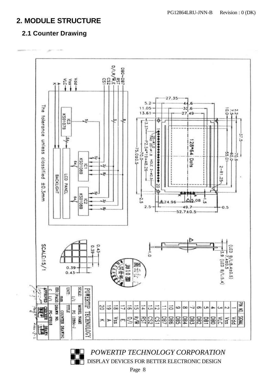# **2. MODULE STRUCTURE**

# **2.1 Counter Drawing**



**POWERTIP TECHNOLOGY CORPORATION DISPLAY DEVICES FOR BETTER ELECTRONIC DESIGN** 

Page 8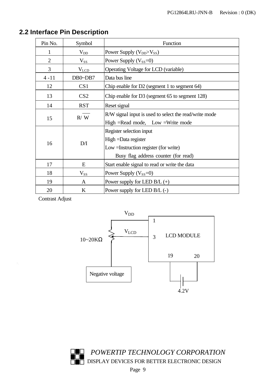| Pin No.        | Symbol          | Function                                               |
|----------------|-----------------|--------------------------------------------------------|
|                | $V_{DD}$        | Power Supply (V <sub>DD</sub> >V <sub>SS</sub> )       |
| $\overline{2}$ | $\rm V_{SS}$    | Power Supply $(V_{SS}=0)$                              |
| $\overline{3}$ | $V_{LCD}$       | Operating Voltage for LCD (variable)                   |
| $4 - 11$       | DB0~DB7         | Data bus line                                          |
| 12             | CS <sub>1</sub> | Chip enable for $D2$ (segment 1 to segment 64)         |
| 13             | CS <sub>2</sub> | Chip enable for D3 (segment 65 to segment 128)         |
| 14             | <b>RST</b>      | Reset signal                                           |
|                | R / W           | R/W signal input is used to select the read/write mode |
| 15             |                 | High = Read mode, Low = Write mode                     |
|                |                 | Register selection input                               |
| 16             | D/I             | High = Data register                                   |
|                |                 | Low = Instruction register (for write)                 |
|                |                 | Busy flag address counter (for read)                   |
| 17             | E               | Start enable signal to read or write the data          |
| 18             | $\rm V_{SS}$    | Power Supply $(V_{SS}=0)$                              |
| 19             | A               | Power supply for LED $B/L (+)$                         |
| 20             | K               | Power supply for LED B/L (-)                           |

# **2.2 Interface Pin Description**

Contrast Adjust

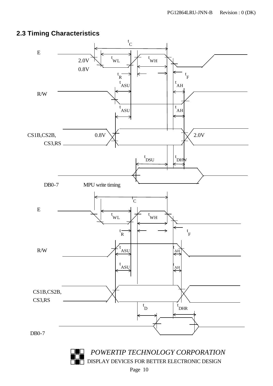## **2.3 Timing Characteristics**



**DISPLAY DEVICES FOR BETTER ELECTRONIC DESIGN**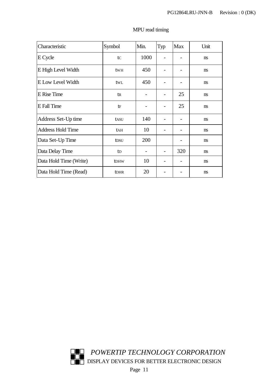| Characteristic           | Symbol           | Min. | Typ | <b>Max</b> | Unit          |
|--------------------------|------------------|------|-----|------------|---------------|
| E Cycle                  | tc               | 1000 |     |            | <sub>ns</sub> |
| E High Level Width       | tw <sub>H</sub>  | 450  |     |            | <sub>ns</sub> |
| E Low Level Width        | twl              | 450  |     |            | <sub>ns</sub> |
| <b>E</b> Rise Time       | $t_{R}$          |      |     | 25         | <sub>ns</sub> |
| E Fall Time              | tF               |      |     | 25         | <sub>ns</sub> |
| Address Set-Up time      | tasu             | 140  |     |            | ns            |
| <b>Address Hold Time</b> | tah              | 10   |     |            | <sub>ns</sub> |
| Data Set-Up Time         | t <sub>DSU</sub> | 200  |     |            | <sub>ns</sub> |
| Data Delay Time          | t <sub>D</sub>   |      |     | 320        | <sub>ns</sub> |
| Data Hold Time (Write)   | <b>t</b> DHW     | 10   |     |            | <sub>ns</sub> |
| Data Hold Time (Read)    | <b>tDHR</b>      | 20   |     |            | ns            |

#### MPU read timing

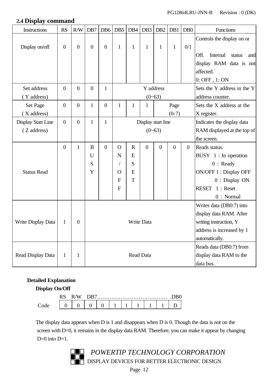#### **2.4 Display command**

| Instructions              | <b>RS</b>        | R/W              | DB7              |                | $DB6$ DB5      | DB4          | DB <sub>3</sub> | DB <sub>2</sub>    | DB1            | D <sub>B</sub> 0 | <b>Functions</b>                  |  |  |
|---------------------------|------------------|------------------|------------------|----------------|----------------|--------------|-----------------|--------------------|----------------|------------------|-----------------------------------|--|--|
|                           |                  |                  |                  |                |                |              |                 |                    |                |                  | Controls the display on or        |  |  |
| Display on/off            | $\boldsymbol{0}$ | $\boldsymbol{0}$ | $\boldsymbol{0}$ | $\overline{0}$ | $\mathbf{1}$   | 1            | $\mathbf{1}$    | $\mathbf{1}$       | $\mathbf{1}$   | 0/1              |                                   |  |  |
|                           |                  |                  |                  |                |                |              |                 |                    |                |                  | Off.<br>Internal<br>status<br>and |  |  |
|                           |                  |                  |                  |                |                |              |                 |                    |                |                  | display RAM data is not           |  |  |
|                           |                  |                  |                  |                |                |              |                 |                    |                |                  | affected.                         |  |  |
|                           |                  |                  |                  |                |                |              |                 |                    |                |                  | 0: OFF, 1: ON                     |  |  |
| Set address               | $\overline{0}$   | $\overline{0}$   | $\boldsymbol{0}$ | $\mathbf{1}$   |                |              |                 | Y address          |                |                  | Sets the Y address in the Y       |  |  |
| Y address)                |                  |                  |                  |                |                |              |                 | $(0 - 63)$         |                |                  | address counter.                  |  |  |
| Set Page                  | $\overline{0}$   | $\overline{0}$   | $\mathbf{1}$     | $\overline{0}$ | 1              | $\mathbf{1}$ | 1               |                    | Page           |                  | Sets the X address at the         |  |  |
| (X address)               |                  |                  |                  |                |                |              |                 |                    | $(0-7)$        |                  | X register.                       |  |  |
| <b>Display Start Line</b> | $\boldsymbol{0}$ | $\overline{0}$   | $\mathbf{1}$     | $\mathbf{1}$   |                |              |                 | Display start line |                |                  | Indicates the display data        |  |  |
| (Z address)               |                  |                  |                  |                |                |              |                 | $(0 - 63)$         |                |                  | RAM displayed at the top of       |  |  |
|                           |                  |                  |                  |                |                |              |                 |                    |                |                  | the screen.                       |  |  |
|                           | $\overline{0}$   | $\mathbf{1}$     | B                | $\overline{0}$ | $\Omega$       | $\mathbf R$  | $\overline{0}$  | $\overline{0}$     | $\overline{0}$ | $\mathbf{0}$     | Reads status.                     |  |  |
|                           |                  |                  | U                |                | N              | E            |                 |                    |                |                  | BUSY 1 : In operation             |  |  |
|                           |                  |                  | ${\bf S}$        |                |                | S            |                 |                    |                |                  | $0:$ Ready                        |  |  |
| <b>Status Read</b>        |                  |                  | Y                |                | $\mathbf O$    | E            |                 |                    |                |                  | ON/OFF 1 : Display OFF            |  |  |
|                           |                  |                  |                  |                | $\overline{F}$ | T            |                 |                    |                |                  | $0:$ Display ON                   |  |  |
|                           |                  |                  |                  |                | $\overline{F}$ |              |                 |                    |                |                  | <b>RESET</b><br>1 : Reset         |  |  |
|                           |                  |                  |                  |                |                |              |                 |                    |                |                  | 0: Normal                         |  |  |
|                           |                  |                  |                  |                |                |              |                 |                    |                |                  | Writes data (DB0:7) into          |  |  |
|                           |                  |                  |                  |                |                |              |                 |                    |                |                  | display data RAM. After           |  |  |
| Write Display Data        | $\mathbf{1}$     | $\boldsymbol{0}$ |                  |                |                |              | Write Data      |                    |                |                  | writing instruction, Y            |  |  |
|                           |                  |                  |                  |                |                |              |                 |                    |                |                  | address is increased by 1         |  |  |
|                           |                  |                  |                  |                |                |              |                 |                    |                |                  | automatically.                    |  |  |
|                           |                  |                  |                  |                |                |              |                 |                    |                |                  | Reads data (DB0:7) from           |  |  |
| Read Display Data         | 1                | $\mathbf{1}$     |                  |                |                |              | Read Data       |                    |                |                  | display data RAM to the           |  |  |
|                           |                  |                  |                  |                |                |              |                 |                    |                |                  | data bus.                         |  |  |

#### **Detailed Explanation**

#### **Display On/Off**

The display data appears when D is 1 and disappears when D is 0. Though the data is not on the screen with D=0, it remains in the display data RAM. Therefore, you can make it appear by changing  $D=0$  into  $D=1$ .

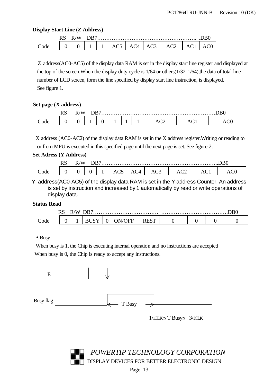#### **Display Start Line (Z Address)**

|     | W | w |  |  |          |  |  |
|-----|---|---|--|--|----------|--|--|
| ode |   |   |  |  | $\Delta$ |  |  |

 Z address(AC0-AC5) of the display data RAM is set in the display start line register and displayed at the top of the screen.When the display duty cycle is 1/64 or others(1/32-1/64),the data of total line number of LCD screen, form the line specified by display start line instruction, is displayed. See figure 1.

#### **Set page (X address)**

|     | n ^<br>W | /W |  |  |        |    |
|-----|----------|----|--|--|--------|----|
| ode |          |    |  |  | $\sim$ | へい |

X address (AC0-AC2) of the display data RAM is set in the X address register.Writing or reading to or from MPU is executed in this specified page until the next page is set. See figure 2.

#### **Set Adress (Y Address)**

|      | ח מ<br>w | $\mathbf W$ | אנ |  | rn∩ |        |            |                    |  |        |
|------|----------|-------------|----|--|-----|--------|------------|--------------------|--|--------|
| code |          |             |    |  | AC. | $\sim$ | $\Delta U$ | $\sim$<br>$\Delta$ |  | $\sim$ |

 Y address(AC0-AC5) of the display data RAM is set in the Y address Counter. An address is set by instruction and increased by 1 automatically by read or write operations of display data.

#### **Status Read**

|      | n a<br>טרו | $^{\prime}$ W |  |  |    |  |  |  |  |
|------|------------|---------------|--|--|----|--|--|--|--|
| Code |            |               |  |  | нн |  |  |  |  |

#### • Busy

When busy is 1, the Chip is executing internal operation and no instructions are accepted When busy is 0, the Chip is ready to accept any instructions.



**POWERTIP TECHNOLOGY CORPORATION** DISPLAY DEVICES FOR BETTER ELECTRONIC DESIGN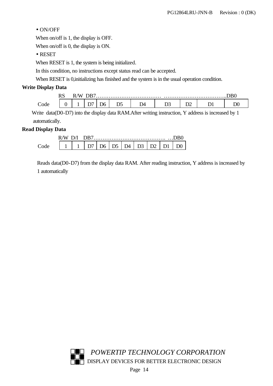#### • ON/OFF

When on/off is 1, the display is OFF.

When on/off is 0, the display is ON.

• RESET

When RESET is 1, the system is being initialized.

In this condition, no instructions except status read can be accepted.

When RESET is 0,initializing has finished and the system is in the usual operation condition.

#### **Write Display Data**

|      | טרג | /W<br>ĸ/ | )R7 |    |     |  |        |  |  |
|------|-----|----------|-----|----|-----|--|--------|--|--|
| `ode |     |          |     | D6 | . . |  | ⊷<br>◡ |  |  |

 Write data(D0-D7) into the display data RAM.After writing instruction, Y address is increased by 1 automatically.

#### **Read Display Data**

| W |  |    |                               |            |          |  |  |
|---|--|----|-------------------------------|------------|----------|--|--|
|   |  | ገና | $\overline{1}$ D <sub>5</sub> | $\Delta$ 1 | $\Gamma$ |  |  |

Reads data(D0-D7) from the display data RAM. After reading instruction, Y address is increased by 1 automatically

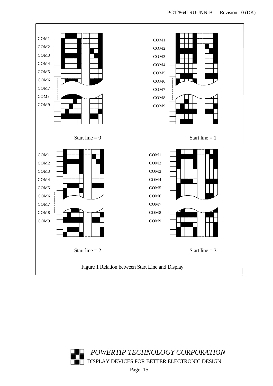

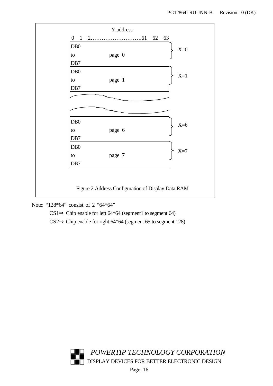

Note: "128\*64" consist of 2 "64\*64"

 $CS1 \Rightarrow$  Chip enable for left 64\*64 (segment1 to segment 64)

CS2⇒ Chip enable for right 64\*64 (segment 65 to segment 128)

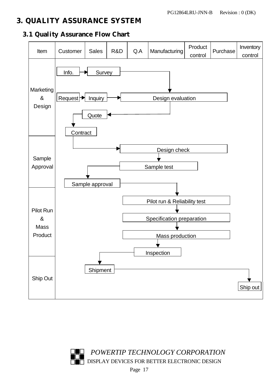# 3. QUALITY ASSURANCE SYSTEM





**POWERTIP TECHNOLOGY CORPORATION** DISPLAY DEVICES FOR BETTER ELECTRONIC DESIGN

Page 17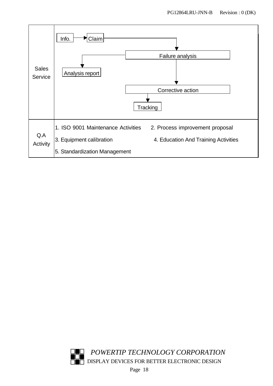

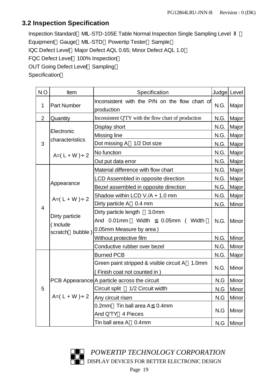### **3.2 Inspection Specification**

Inspection Standard MIL-STD-105E Table Normal Inspection Single Sampling Level Equipment Gauge MIL-STD Powertip Tester Sample IQC Defect Level Major Defect AQL 0.65; Minor Defect AQL 1.0 FQC Defect Level 100% Inspection OUT Going Defect Level Sampling **Specification** 

| N <sub>O</sub> | Item                                             | Specification                                                                                   | Judge Level |       |
|----------------|--------------------------------------------------|-------------------------------------------------------------------------------------------------|-------------|-------|
| $\mathbf 1$    | <b>Part Number</b>                               | Inconsistent with the P/N on the flow chart of<br>production                                    | N.G.        | Major |
| $\overline{2}$ | Quantity                                         | Inconsistent Q'TY with the flow chart of production                                             | N.G.        | Major |
|                |                                                  | Display short                                                                                   | N.G.        | Major |
|                | Electronic<br>characteristics                    | Missing line                                                                                    | N.G.        | Major |
| 3              |                                                  | Dot missing A 1/2 Dot size                                                                      | N.G.        | Major |
|                | $A=(L+W)+2$                                      | No function                                                                                     | N.G.        | Major |
|                |                                                  | Out put data error                                                                              | N.G.        | Major |
|                |                                                  | Material difference with flow chart                                                             | N.G.        | Major |
|                |                                                  | LCD Assembled in opposite direction                                                             | N.G.        | Major |
|                | Appearance                                       | Bezel assembled in opposite direction                                                           | N.G.        | Major |
|                | $A=(L+W)+2$                                      | Shadow within LCD V./A + 1.0 mm                                                                 | N.G.        | Major |
| $\overline{4}$ |                                                  | Dirty particle A 0.4 mm                                                                         | N.G.        | Minor |
|                | Dirty particle<br>(Include<br>bubble)<br>scratch | Dirty particle length 3.0mm<br>And 0.01mm<br>Width<br>0.05mm ( Width<br>0.05mm Measure by area) | N.G.        | Minor |
|                |                                                  | Without protective film                                                                         | N.G.        | Minor |
|                |                                                  | Conductive rubber over bezel                                                                    | N.G.        | Minor |
|                |                                                  | <b>Burned PCB</b>                                                                               | N.G.        | Major |
|                |                                                  | Green paint stripped & visible circuit A 1.0mm<br>(Finish coat not counted in)                  | N.G.        | Minor |
|                |                                                  | PCB Appearance A particle across the circuit                                                    | N.G         | Minor |
| 5              |                                                  | Circuit split 1/2 Circuit width                                                                 | N.G         | Minor |
|                | $A=(L+W)+2$                                      | Any circuit risen                                                                               | N.G         | Minor |
|                |                                                  | Tin ball area A<br>0.4 <sub>mm</sub><br>0.2 <sub>mm</sub><br>And Q'TY 4 Pieces                  | N.G         | Minor |
|                |                                                  | Tin ball area A 0.4mm                                                                           | N.G         | Minor |

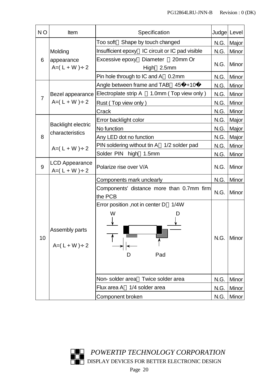| N <sub>O</sub> | Item                                 | Specification                                                                                    |              | Judge Level                  |
|----------------|--------------------------------------|--------------------------------------------------------------------------------------------------|--------------|------------------------------|
|                |                                      | Too soft Shape by touch changed                                                                  | N.G.         | Major                        |
|                | Molding                              | Insufficient epoxy IC circuit or IC pad visible                                                  | N.G.         | Minor                        |
| 6              | appearance<br>$A=(L+W)+2$            | Excessive epoxy Diameter<br>20mm Or<br>High<br>2.5mm                                             | N.G.         | Minor                        |
|                |                                      | Pin hole through to IC and A 0.2mm                                                               | N.G.         | Minor                        |
|                |                                      | Angle between frame and TAB 45<br>$+10$                                                          | N.G.         | Minor                        |
|                | Bezel appearance                     | Electroplate strip A 1.0mm (Top view only)                                                       | N.G.         | Minor                        |
| $\overline{7}$ | $A=(L+W)+2$                          | Rust (Top view only)                                                                             | N.G.         | Minor                        |
|                |                                      | Crack                                                                                            | N.G.         | Minor                        |
|                |                                      | Error backlight color                                                                            | N.G.         | Major                        |
|                | <b>Backlight electric</b>            | No function                                                                                      | N.G.         | Major                        |
| 8              | characteristics                      | Any LED dot no function                                                                          | N.G.         | Major                        |
|                | $A=(L+W)+2$                          | PIN soldering without tin A 1/2 solder pad                                                       | N.G.         | <b>Minor</b>                 |
|                |                                      | Solder PIN high 1.5mm                                                                            | N.G.         | Minor                        |
| 9              | <b>LCD Appearance</b><br>$A=(L+W)+2$ | Polarize rise over V/A                                                                           | N.G.         | Minor                        |
|                |                                      | Components mark unclearly                                                                        | N.G.         | Minor                        |
|                |                                      | Components' distance more than 0.7mm firm<br>the PCB                                             | N.G.         | Minor                        |
| 10             | Assembly parts<br>$A=(L+W)+2$        | 1/4W<br>Error position, not in center D<br>W<br>Pad<br>D<br>Non-solder area<br>Twice solder area | N.G.<br>N.G. | Minor<br><b>Minor</b>        |
|                |                                      | 1/4 solder area<br>Flux area A                                                                   |              |                              |
|                |                                      | Component broken                                                                                 | N.G.<br>N.G. | <b>Minor</b><br><b>Minor</b> |

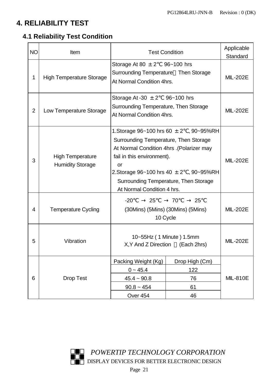# **4. RELIABILITY TEST**

# **4.1 Reliability Test Condition**

| <b>NO</b>      | Item                                               |                                                                                                                                                                                              | <b>Test Condition</b>                                                                                          | Applicable      |  |  |  |
|----------------|----------------------------------------------------|----------------------------------------------------------------------------------------------------------------------------------------------------------------------------------------------|----------------------------------------------------------------------------------------------------------------|-----------------|--|--|--|
|                |                                                    |                                                                                                                                                                                              |                                                                                                                | Standard        |  |  |  |
| 1              | <b>High Temperature Storage</b>                    | Storage At 80 $\pm$ 2 96~100 hrs<br>Surrounding Temperature Then Storage<br>At Normal Condition 4hrs.                                                                                        |                                                                                                                |                 |  |  |  |
| $\overline{2}$ | Low Temperature Storage                            | Storage At -30 $\pm$ 2 96~100 hrs<br>Surrounding Temperature, Then Storage<br>At Normal Condition 4hrs.                                                                                      |                                                                                                                | <b>MIL-202E</b> |  |  |  |
| 3              | <b>High Temperature</b><br><b>Humidity Storage</b> | Surrounding Temperature, Then Storage<br>At Normal Condition 4hrs .(Polarizer may<br>fail in this environment).<br>or<br>Surrounding Temperature, Then Storage<br>At Normal Condition 4 hrs. | 1. Storage $96 - 100$ hrs $60 \pm 2$ , $90 - 95\%$ RH<br>2. Storage $96 - 100$ hrs $40 \pm 2$ , $90 - 95\%$ RH | <b>MIL-202E</b> |  |  |  |
| 4              | <b>Temperature Cycling</b>                         | $-20$<br>25<br>10 Cycle                                                                                                                                                                      | 25<br>70<br>(30Mins) (5Mins) (30Mins) (5Mins)                                                                  | <b>MIL-202E</b> |  |  |  |
| 5              | Vibration                                          | 10~55Hz (1 Minute) 1.5mm<br>X, Y And Z Direction (Each 2hrs)                                                                                                                                 |                                                                                                                | <b>MIL-202E</b> |  |  |  |
| 6              | <b>Drop Test</b>                                   | Packing Weight (Kg)<br>$0 - 45.4$<br>$45.4 \sim 90.8$<br>$90.8 - 454$<br>Over 454                                                                                                            | Drop High (Cm)<br>122<br>76<br>61<br>46                                                                        | <b>MIL-810E</b> |  |  |  |

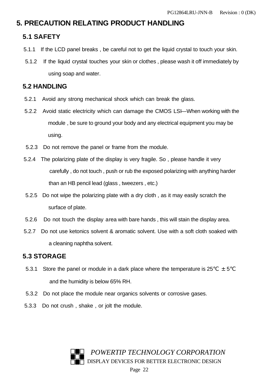### **5. PRECAUTION RELATING PRODUCT HANDLING**

### **5.1 SAFETY**

- 5.1.1 If the LCD panel breaks , be careful not to get the liquid crystal to touch your skin.
- 5.1.2 If the liquid crystal touches your skin or clothes , please wash it off immediately by using soap and water.

### **5.2 HANDLING**

- 5.2.1 Avoid any strong mechanical shock which can break the glass.
- 5.2.2 Avoid static electricity which can damage the CMOS LSI—When working with the module , be sure to ground your body and any electrical equipment you may be using.
- 5.2.3 Do not remove the panel or frame from the module.
- 5.2.4 The polarizing plate of the display is very fragile. So , please handle it very carefully , do not touch , push or rub the exposed polarizing with anything harder than an HB pencil lead (glass , tweezers , etc.)
- 5.2.5 Do not wipe the polarizing plate with a dry cloth , as it may easily scratch the surface of plate.
- 5.2.6 Do not touch the display area with bare hands , this will stain the display area.
- 5.2.7 Do not use ketonics solvent & aromatic solvent. Use with a soft cloth soaked with a cleaning naphtha solvent.

### **5.3 STORAGE**

- 5.3.1 Store the panel or module in a dark place where the temperature is  $25 \pm 5$ and the humidity is below 65% RH.
- 5.3.2 Do not place the module near organics solvents or corrosive gases.
- 5.3.3 Do not crush , shake , or jolt the module.